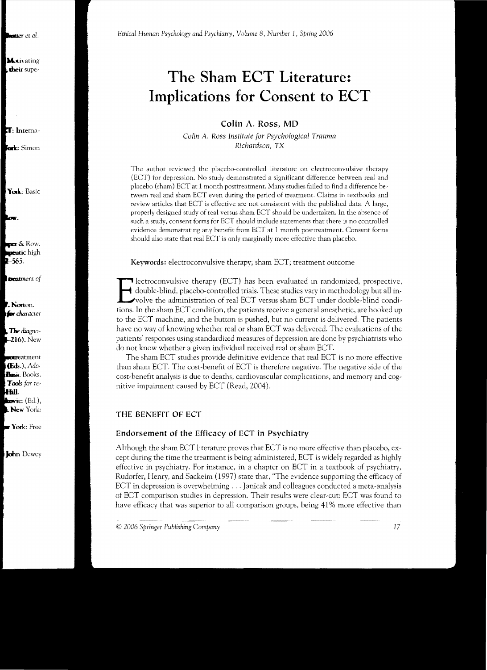# **The Sham ECT Literature: Implications for Consent to ECT**

## **Colin A. Ross, MD**

*Colin* A. *Ross Institute for Psychological Trauma Richardson, TX* 

The author reviewed the placebo-controlled literature on electroconvulsive therapy (ECT) for depression. No study demonstrated a significant difference between real and placebo {sham} ECT at 1 month posttreatment. Many studies failed to find a difference between real and sham ECT even during the period of treatment. Claims in textbooks and review articles that ECT is effective are not consistent with the published data. A large, properly designed study of real versus sham ECT should be undertaken. In the absence of such a study, consent forms for ECT should include statements that there is no controlled evidence demonstrating any benefit from ECT at 1 month posttreatment. Consent forms should also state that real ECT is only marginally more effective than placebo.

**Keywords:** electroconvulsive therapy; sham ECT; treatment outcome

T lectroconvulsive therapy (ECT) has been evaluated in randomized, prospective,<br>double-blind, placebo-controlled trials. These studies vary in methodology but all in-<br>volve the administration of real ECT versus sham ECT un lectroconvulsive therapy (ECT) has been evaluated in randomized, prospective, double-blind, placebo-controlled trials. These studies vary in methodology but all involve the administration of real ECT versus sham ECT under double-blind condito the ECT machine, and the button is pushed, but no current is delivered. The patients have no way of knowing whether real or sham ECT was delivered. The evaluations of the patients' responses using standardized measures of depression are done by psychiatrists who do not know whether a given individual received real or sham ECT.

The sham ECT studies provide definitive evidence that real ECT is no more effective than sham ECT. The cost-benefit of ECT is therefore negative. The negative side of the cost-benefit analysis is due to deaths, cardiovascular complications, and memory and cognitive impairment caused by ECT (Read, 2004).

## **THE BENEFIT OF ECT**

# **Endorsement of the Efficacy of ECT in Psychiatry**

Although the sham ECT literature proves that ECT is no more effective than placebo, except during the time the treatment is being administered, ECT is widely regarded as highly effective in psychiatry. For instance, in a chapter on ECT in a textbook of psychiatry, Rudorfer, Henry, and Sackeim (1997) state that, "The evidence supporting the efficacy of ECT in depression is overwhelming  $\ldots$  Janicak and colleagues conducted a meta-analysis of ECT comparison studies in depression. Their results were clear-cut: ECT was found to have efficacy that was superior to all comparison groups, being 41% more effective than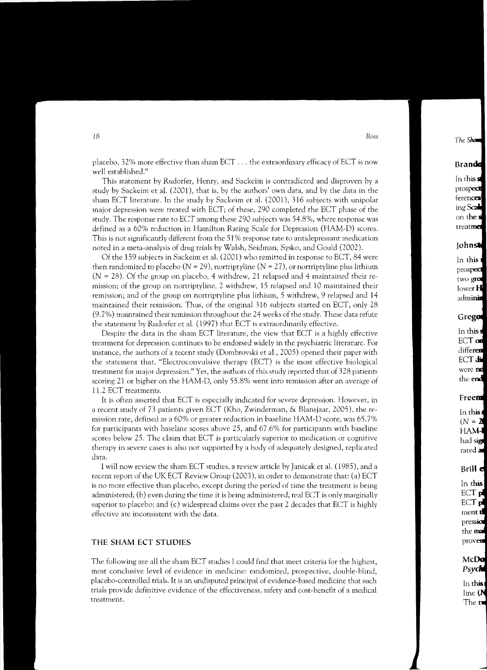placebo,  $32\%$  more effective than sham ECT  $\dots$  the extraordinary efficacy of ECT is now well established."

This statement by Rudorfer, Henry, and Sackeim is contradicted and disproven by a study by Sackeim et a1. (2001), that is, by the authors' own data, and by the data in the sham ECT literature. In the study by Sackeim et a1. (2001), 316 subjects with unipolar major depression were treated with ECT; of these, 290 completed the ECT phase of the study. The response rate to ECT among these 290 subjects was 54.8%, where response was defined as a 60% reduction in Hamilton Rating Scale for Depression (HAM-D) scores. This is not significantly different from the 51 % response rate to antidepressant medication noted in a meta-analysis of drug trials by Walsh, Seidman, Sysko, and Gould (2002).

Of the 159 subjects in Sackeim et a1. (2001) who remitted in response to ECT, 84 were then randomized to placebo ( $N = 29$ ), nortriptyline ( $N = 27$ ), or nortriptyline plus lithium  $(N = 28)$ . Of the group on placebo, 4 withdrew, 21 relapsed and 4 maintained their remission; of the group on nortriptyline, 2 withdrew, 15 relapsed and 10 maintained their remission; and of the group on nortriptyline plus lithium, 5 withdrew, 9 relapsed and 14 mainrained their remission. Thus, of the original 316 subjects started on ECT, only 28 (9.7%) maintained their remission throughout the 24 weeks of the study. These data refute the statement by Rudorfer et a1. (1997) that ECT is extraordinarily effective.

Despite the data in the sham ECT literature, the view that ECT is a highly effective treatment for depression continues to be endorsed widely in the psychiatric literature. For instance, the authors of a recent study (Dombrovski et a1., 2005) opened their paper with the statement that, "Electroconvulsive therapy (ECT) is the most effective biological treatment for major depression." Yet, the authors of this study reported that of 328 patients scoring 21 or higher on the HAM-D, only 55.8% went into remission after an average of 11.2 ECT treatments.

It is often asserted that ECT is especially indicated for severe depression. However, in a recent study of 73 patients given ECT (Kho, Zwinderman, & Blansjaar, 2005), the remission rate, defined as a 60% or greater reduction in baseline HAM-D score, was 65.7% for participants with baseline scores above 25, and 67.6% for participants with baseline scores below 25. The claim that ECT is particularly superior to medication or cognitive therapy in severe cases is also not supported by a body of adequately designed, replicated data.

I will now review the sham ECT studies, a review article by Janicak et a1. (1985), and a recent report of the UK ECT Review Group (2003), in order to demonstrate that: (a) ECT is no more effective than placebo, except during the period of time the treatment is being administered; (b) even during the time it is being administered, real ECT is only marginally superior to placebo; and (c) widespread claims over the past 2 decades that ECT is highly effective are inconsistent with the data.

#### THE SHAM ECT STUDIES

The following are all the sham ECT studies I could find that meet criteria for the highest, most conclusive level of evidence in medicine: randomized, prospective, double-blind, placebo-controlled trials. It is an undisputed principal of evidence-based medicine that such trials provide definitive evidence of the effectiveness, safety and cost-benefit of a medical treatment.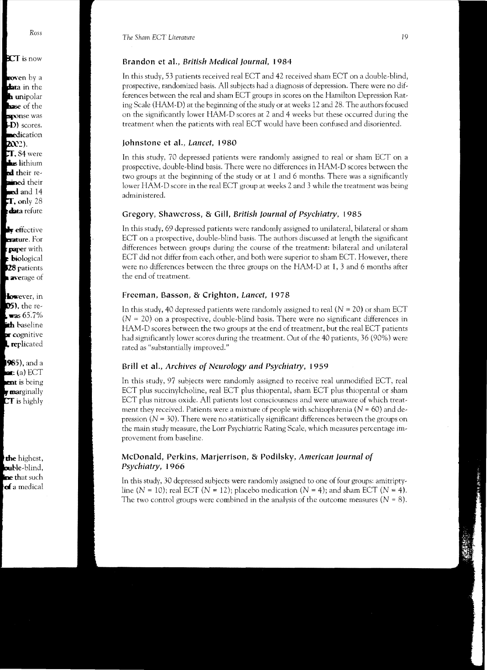## Brandon et al., British Medical Journal, 1984

In this study, 53 patients received real ECT and 42 received sham ECT on a double-blind, prospective, randomized basis. All subjects had a diagnosis of depression. There were no differences between the real and sham ECT groups in scores on the Hamilton Depression Rating Scale (HAM-D) at the beginning of the study or at weeks 12 and 28. The authors focused on the significantly lower HAM-D scores at 2 and 4 weeks but these occurred during the treatment when the patients with real ECT would have been confused and disoriented.

## Johnstone et aI., Lancet, 1980

In this study, 70 depressed patients were randomly assigned to real or sham ECT on a prospective, double-blind basis. There were no differences in HAM-D scores between the two groups at the beginning of the study or at 1 and 6 months. There was a significantly lower HAM-D score in the real ECT group at weeks 2 and 3 while the treatment was being administered.

## Gregory, Shawcross, & Gill, British TournaI of Psychiatry, 1985

In this study, 69 depressed patients were randomly assigned to unilateral, bilateral or sham ECT on a prospective, double-blind basis. The authors discussed at length the significant differences between groups during the course of the treatment: bilateral and unilateral ECT did not differ from each other, and both were superior to sham ECT. However, there were no differences between the three groups on the HAM-D at 1, 3 and 6 months after the end of treatment.

## Freeman, Basson, & Crighton, Lancet, 1978

In this study, 40 depressed patients were randomly assigned to real  $(N = 20)$  or sham ECT  $(N = 20)$  on a prospective, double-blind basis. There were no significant differences in HAM-D scores between the two groups at the end of treatment, but the real ECT patients had significantly lower scores during the treatment. Out of the 40 patients, 36 (90%) were rated as "substantially improved."

## Brill et aL, Archives of Neurology and Psychiatry, 1959

In this study, 97 subjects were randomly assigned to receive real unmodified ECT, real ECT plus succinylcholine, real ECT plus thiopental, sham ECT plus thiopental or sham ECT plus nitrous oxide, All patients lost consciousness and were unaware of which treatment they received. Patients were a mixture of people with schizophrenia ( $N = 60$ ) and depression ( $N = 30$ ). There were no statistically significant differences between the groups on the main study measure, the Lorr Psychiatric Rating Scale, which measures percentage improvement from baseline.

## McDonald, Perkins, Marjerrison, & Podilsky, American Journal of Psychiatry, 1966

In this study, 30 depressed subjects were randomly assigned to one of four groups: amitriptyline (N = 10); real ECT (N = 12); placebo medication (N = 4); and sham ECT (N = 4). The two control groups were combined in the analysis of the outcome measures  $(N = 8)$ .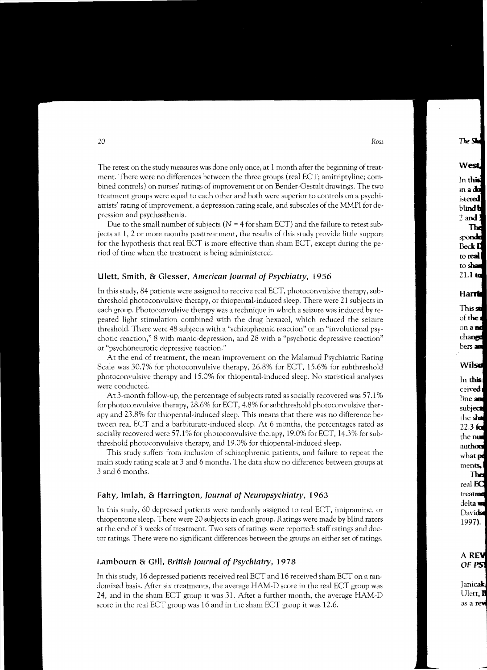The retest on the study measures was done only once, at 1 month after the beginning of treatment. There were no differences between the three groups (real ECT; amitriptyline; combined controls) on nurses' ratings of improvement or on Bender-Gestalt drawings. The two treatment groups were equal to each other and both were superior to controls on a psychiatrists' rating of improvement, a depression rating scale, and subscales of the MMPI for depression and psychasthenia.

Due to the small number of subjects ( $N = 4$  for sham ECT) and the failure to retest subjects at 1, 2 or more months posttreatment, the results of this study provide little support for the hypothesis that real ECT is more effective than sham ECT, except during the period of time when the treatment is being administered.

#### **Ulett, Smith, & Glesser,** *American Journal of Psychiatry,* **1956**

In this study, 84 patients were assigned to receive real ECT, photoconvulsive therapy, subthreshold photoconvulsive therapy, or thiopental-induced sleep. There were 21 subjects in each group. Photoconvulsive therapy was a technique in which a seizure was induced by repeated light stimulation combined with the drug hexazol, which reduced the seizure threshold. There were 48 subjects with a "schizophrenic reaction" or an "involutional psychotic reaction," 8 with manic-depression, and 28 with a "psychotic depressive reaction" or "psychoneurotic depressive reaction."

At the end of treatment, the mean improvement on the Malamud Psychiatric Rating Scale was 30.7% for photoconvulsive therapy, 26.8% for ECT, 15.6% for subthreshold photoconvulsive therapy and 15.0% for thiopental-induced sleep. No statistical analyses were conducted.

At 3-month follow-up, the percentage of subjects rated as socially recovered was 57.1 % for photoconvulsive therapy,  $28.6\%$  for ECT,  $4.8\%$  for subthreshold photoconvulsive therapy and 23.8% for thiopental-induced sleep. This means that there was no difference between real ECT and a barbiturate-induced sleep. At 6 months, the percentages rated as socially recovered were 57.1% for photoconvulsive therapy, 19.0% for ECT, 14.3% for subthreshold photoconvulsive therapy, and 19.0% for thiopental-induced sleep.

This study suffers from inclusion of schizophrenic patients, and failure to repeat the main study rating scale at 3 and 6 months. The data show no difference between groups at 3 and 6 months.

#### **Fahy, Imlah, & Harrington,** *Journal of Neuropsychiatry,* **1963**

In this study, 60 depressed patients were randomly assigned to real ECT, imipramine, or thiopentone sleep. There were 20 subjects in each group. Ratings were made by blind raters at the end of 3 weeks of treatment. Two sets of ratings were reported: staff ratings and doctor ratings. There were no significant differences between the groups on either set of ratings.

#### **Lambourn & Gill,** *British Journal of Psychiatry,* **1978**

In this study, 16 depressed patients received real ECT and 16 received sham ECT on a randomized basis. After six treatments, the average HAM-D score in the real ECT group was 24, and in the sham ECT group it was 3 L After a further month, the average HAM-D score in the real ECT group was 16 and in the sham ECT group it was 12.6.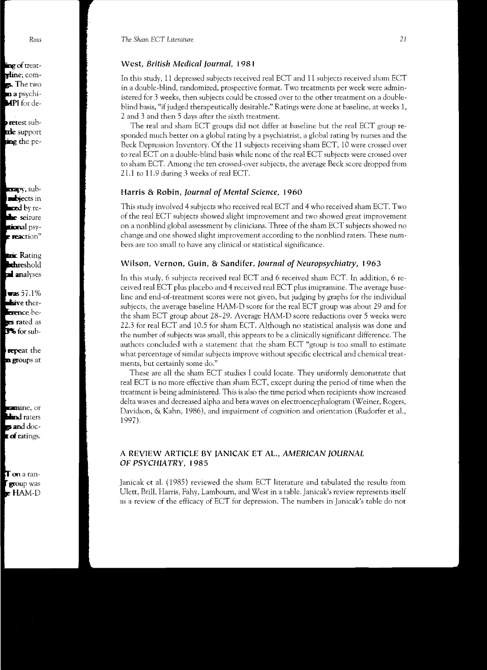## **West, British Medical Journal, 1981**

In this study, 11 depressed subjects received real ECT and 11 subjects received sham ECT in a double-blind, randomized, prospective format. Two treatments per week were administered for 3 weeks, then subjects could be crossed over to the other treatment on a doubleblind basis, "if judged therapeutically desirable." Ratings were done at baseline, at weeks 1, 2 and 3 and then 5 days after the sixth treatment.

The real and sham ECT groups did not differ at baseline but the real ECT group responded much better on a global rating by a psychiatrist, a global rating by nurses and the Beck Depression Inventory. Of the 11 subjects receiving sham ECT, 10 were crossed over to real ECT on a double-blind basis while none of the real ECT subjects were crossed over to sham ECT. Among the ten crossed-over subjects, the average Beck score dropped from 21.1 to 11.9 during 3 weeks of real ECT.

## **Harris & Robin, Journal of Mental Science, 1960**

This study involved 4 subjects who received real ECT and 4 who received sham ECT. Two of the real ECT subjects showed slight improvement and two showed great improvement on a nonblind global assessment by clinicians. Three of the sham ECT subjects showed no change and one showed slight improvement according to the nonblind raters. These numbers are too small to have any clinical or statistical significance.

## **Wilson, Vernon, Guin, & Sandifer, Journal of Neuropsychiatry, 1963**

In this study, 6 subjects received real ECT and 6 received sham ECT. In addition, 6 received real ECT plus placebo and 4 received real ECT plus imipramine. The average baseline and end-of-treatment scores were not given, but judging by graphs for the individual subjects, the average baseline HAM-D score for the real ECT group was about 29 and for the sham ECT group about 28–29. Average HAM-D score reductions over 5 weeks were 22.3 for real ECT and 10.5 for sham ECT. Although no statistical analysis was done and the number of subjects was small, this appears to be a clinically significant difference. The authors concluded with a statement that the sham ECT "group is too small to estimate what percentage of similar subjects improve without specific electrical and chemical treatments, but certainly some do."

These are all the sham ECT studies I could locate. They uniformly demonstrate that real ECT is no more effective than sham ECT, except during the period of time when the treatment is being administered. This is also the time period when recipients show increased delta waves and decreased alpha and beta waves on electroencephalogram (Weiner, Rogers, Davidson, & Kahn, 1986), and impairment of cognition and orientation (Rudorfer et al., 1997).

## **A REVIEW ARTICLE BY JANICAK ET AL., AMERICAN JOURNAL OF PSYCHIA TRY, 1985**

Janicak et al. (1985) reviewed the sham ECT literature and tabulated the results from Ulett, Brill, Harris, Fahy, Lambourn, and West in a table. Janicak's review represents itself as a review of the efficacy of ECT for depression. The numbers in Janicak's table do not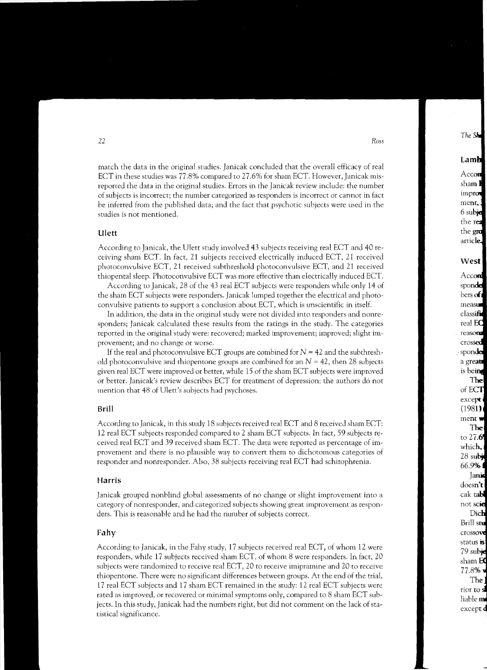match the data in the original studies. Janicak concluded that the overall efficacy of real ECT in these studies was 77.8% compared to 27,6% for sham ECT. However, Janicak misreponed the data in the original studies, Errors in the Janicak review include: the number of subjects is incorrect; the number categorized as responders is incorrect or cannot in fact be inferred from the published data; and the fact that psychotic subjects were used in the studies is not mentioned,

## **Ulett**

According to Janicak, the Ulett study involved 43 subjects receiving real ECT and 40 receiving sham ECT, In fact, 21 subjects received electrically induced ECT, 21 received photoconvulsive ECT, 21 received subthreshold photoconvulsive ECT, and 21 received thiopental sleep, Photoconvulsive ECT was more effective than electrically induced ECT.

According to Janicak, 28 of the 43 real ECT subjects were responders while only 14 of the sham ECT subjects were responders, Janicak lumped together the electrical and photoconvulsive patients to support a conclusion about ECT, which is unscientific in itself,

In addition, the data in the original study were not divided into responders and nonresponders; Janicak calculated these results from the ratings in the study. The categories reported in the original study were: recovered; marked improvement; improved; slight improvement; and no change or worse,

If the real and photoconvulsive ECT groups are combined for  $N = 42$  and the subthreshold photoconvulsive and thiopentone groups are combined for an  $N = 42$ , then 28 subjects given real ECT were improved or better, while 15 of the sham ECT subjects were improved or better. Janicak's review describes ECT for treatment of depression; the authors do not mention that 48 of Ulett's subjects had psychoses.

#### **Brill**

According to Janicak, in this study 18 subjects received real ECT and 8 received sham ECT: 12 real ECT subjects responded compared to 2 sham ECT subjects. In fact, 59 subjects received real ECT and 39 received sham ECT. The data were reported as percentage of improvement and there is no plausible way to convert them to dichotomous categories of responder and nonresponder. Also, 38 subjects receiving real ECT had schizophrenia.

## **Harris**

Janicak grouped nonblind global assessments of no change or slight improvement into a category of nonresponder, and categorized subjects showing great improvement as responders. This is reasonable and he had the number of subjects correct,

#### **Fahy**

According to Janicak, in the Fahy study, 17 subjects received real ECT, of whom 12 were responders, while 17 subjects received sham ECT, of whom 8 were responders. In fact, 20 subjects were randomized to receive real ECT, 20 to receive imipramine and 20 to receive thiopentone. There were no significant differences between groups. At the end of the trial, 17 real ECT subjects and 17 sham ECT remained in the study: 12 real ECT subjects were rated as improved, or recovered or minimal symptoms only, compared to 8 sham ECT subjects. In this study, Janicak had the numbers right, but did not comment on the lack of statistical significance.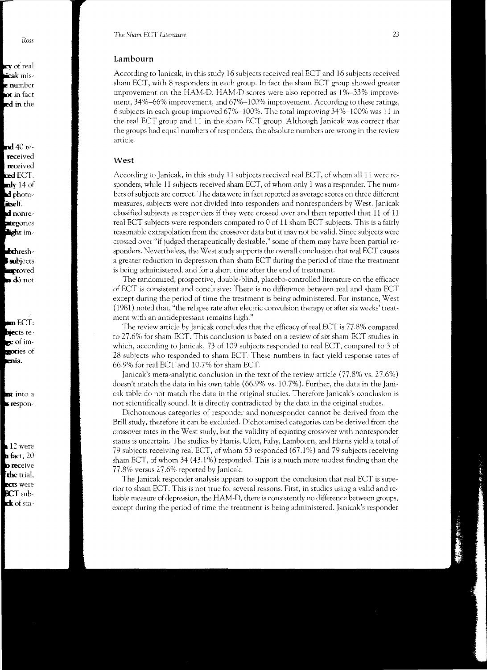## **Lambourn**

According to Janicak, in this study 16 subjects received real ECT and 16 subjects received sham ECT, with 8 responders in each group. In fact the sham ECT group showed greater improvement on the HAM-D. HAM-D scores were also reported as 1%-33% improvement, 34%-66% improvement, and 67%-100% improvement. According to these ratings, 6 subjects in each group improved 67%-100%. The total improving 34%-100% was 11 in the real ECT group and 11 in the sham ECT group. Although Janicak was correct that the groups had equal numbers of responders, the absolute numbers are wrong in the review article.

#### **West**

According to Janicak, in this study 11 subjects received real ECT, of whom all 11 were responders, while 11 subjects received sham ECT, of whom only 1 was a responder. The numbers of subjects are correct. The data were in fact reported as average scores on three different measures; subjects were not divided into responders and nontesponders by West. Janicak classified subjects as responders if they were crossed over and then reported that 11 of 11 real ECT subjects were responders compared to 0 of 11 sham ECT subjects. This is a fairly reasonable extrapolation from the crossover data but it may not be valid. Since subjects were crossed over "if judged therapeutically desirable," some of them may have been partial responders. Nevertheless, the West supports the overall conclusion that real ECT causes a greater reduction in depression than sham ECT during the period of time the treatment is being administered, and for a short time after the end of treatment.

The randomized, prospective, double-blind, placebo-controlled literature on the of ECT is consistent and conclusive: There is no difference between real and sham ECT except during the period of time the treatment is being administered. For instance, West (1981) noted that, "the relapse rate after electric convulsion therapy or after six weeks' treatment with an antidepressant remains high."

The review article by Janicak concludes that the efficacy of real ECT is 77.8% compared to 27.6% for sham ECT. This conclusion is based on a review of six sham ECT studies in which, according to Janicak, 73 of 109 subjects responded to real ECT, compared to 3 of 28 subjects who responded to sham ECT. These numbers in fact yield response rates of 66.9% for real ECT and 10.7% for sham ECT.

Janicak's meta-analytic conclusion in the text of the review article (77.8% vs. 27.6%) doesn't match the data in his own table (66.9% vs. 10.7%). Further, the data in the Janicak table do not match the data in the original studies. Therefore Janicak's conclusion is not scientifically sound. It is directly contradicted by the data in the original studies.

Dichotomous categories of responder and nonresponder cannot be derived from the Brill study, therefore it can be excluded. Dichotomized categories can be derived from the crossover rates in the West study, but the validity of equating crossover with nonresponder status is uncertain. The studies by Harris, Ulett, Fahy, Lambourn, and Harris yield a total of 79 subjects receiving real ECT, of whom 53 responded (67.l %) and 79 subjects receiving sham ECT, of whom 34 (43.1 %) responded. This is a much more modest finding than the 77.8% versus 27.6% reported by Janicak.

The ]anicak responder analysis appears to support the conclusion that real ECT is superior to sham ECT. This is not true for several reasons. First, in studies using a valid and reliable measure of depression, the HAM-D, there is consistently no difference between groups, except during the period of time the treatment is being administered. Janicak's responder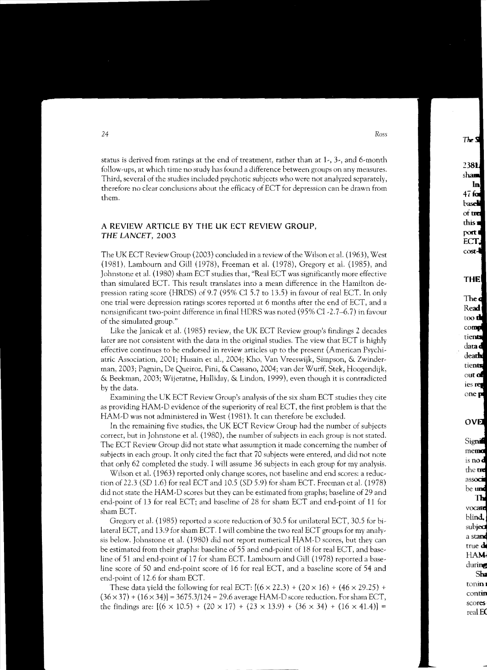status is derived from ratings at the end of treatment, rather than at 1-, 3-, and 6-month follow-ups, at which time no study has found a difference between groups on any measures. Third, several of the studies included psychotic subjects who were not analyzed separately, therefore no clear conclusions about the efficacy of ECT for depression can be drawn from them.

## A REVIEW ARTICLE BY THE UK ECT REVIEW GROUP, THE LANCET, 2003

The UK ECT Review Group (2003) concluded in a review of the Wilson et a1. (1963), West (1981), Lambourn and Gill (1978), Freeman et a1. (1978), Gregory et a1. (1985), and Johnstone et a1. (1980) sham ECT studies that, "Real ECT was significantly more effective than simulated ECT. This result translates into a mean difference in the Hamilton depression rating score (HRDS) of 9.7 (95% CI 5.7 to 13.5) in favour of real ECT. In only one trial were depression ratings scores reported at 6 months after the end of ECT, and a nonsignificant two-point difference in final BDRS was noted (95% CI -2.7-6.7) in favour of the simulated group."

Like the Janicak et a1. (1985) review, the UK ECT Review group's findings 2 decades later are not consistent with the data in the original studies. The view that ECT is highly effective continues to be endorsed in review articles up to the present (American Psychiatric Association, 2001; Husain et a1., 2004; Kho, Van Vreeswijk, Simpson, & Zwinderman, 2003; Pagnin, De Queiroz, Pini, & Cassano, 2004; van der Wurff, Stek, Hoogendijk, & Beekman, 2003; Wijeratne, Halliday, & Lindon, 1999), even though it is contradicted by the data.

Examining the UK ECT Review Group's analysis of the six sham ECT studies they cite as providing HAM-D evidence of the superiority of real ECT, the first problem is that the HAM-D was not administered in West (1981). It can therefore be excluded.

In the remaining five studies, the UK ECT Review Group had the number of subjects correct, but in Johnstone et a1. (1980), the number of subjects in each group is not stated. The ECT Review Group did not state what assumption it made concerning the number of subjects in each group. It only cited the fact that 70 subjects were entered, and did not note that only 62 completed the study. I will assume 36 subjects in each group for my analysis.

Wilson et a1. (1963) reported only change scores, not baseline and end scores: a reduction of 22.3 *(SD 1.6)* for real ECT and 10.5 *(SD 5.9)* for sham ECT. Freeman et al. *(1978)* did not state the HAM-D scores but they can be estimated from graphs; baseline of 29 and end-point of 13 for real ECT; and baseline of 28 for sham ECT and end-point of 11 for sham ECT.

Gregory et a1. (1985) reported a score reduction of 30.5 for unilateral ECT, 30.5 for bilateral ECT, and 13.9 for sham ECT. I will combine the two real ECT groups for my analysis below. Johnstone et a1. (1980) did not report numerical HAM-D scores, but they can be estimated from their graphs: baseline of 55 and end-point of 18 for real ECT, and baseline of 51 and end-point of 17 for sham ECT. Lamboum and Gill (l978) reported a baseline score of 50 and end-point score of 16 for real ECT, and a baseline score of 54 and end-point of 12.6 for sham ECT.

These data yield the following for real ECT:  $[(6 \times 22.3) + (20 \times 16) + (46 \times 29.25) +$  $(36 \times 37) + (16 \times 34) = 3675.3/124 = 29.6$  average HAM-D score reduction. For sham ECT, the findings are:  $[(6 \times 10.5) + (20 \times 17) + (23 \times 13.9) + (36 \times 34) + (16 \times 41.4)]$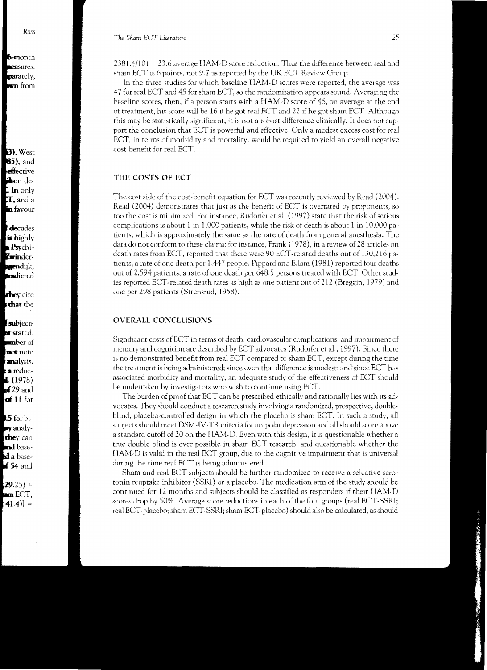2381.4/101 = 23.6 average HAM-D score reduction. Thus the difference between real and sham ECT is 6 points, not 9.7 as reported by the UK ECT Review Group.

In the three studies for which baseline HAM-D scores were reported, the average was 47 for real ECT and 45 for sham ECT, so the randomization appears sound. Averaging the baseline scores, then, if a person starts with a HAM-D score of 46, on average at the end of treatment, his score will be 16 if he got real ECT and 22 ifhe got sham ECT. Although this may be statistically significant, it is not a robust difference clinically. It does not support the conclusion that ECT is powerful and effective. Only a modest excess cost for real ECT, in terms of morbidity and mortality, would be required to yield an overall negative cost-benefit for real ECT.

## **THE COSTS OF ECT**

The cost side of the cost-benefit equation for ECT was recently reviewed by Read (2004). Read (2004) demonstrates that just as the benefit of ECT is overrated by proponents, so too the cost is minimized. For instance, Rudorfer et a1. (1997) state that the risk of serious complications is about 1 in 1,000 patients, while the risk of death is about 1 in 10,000 patients, which is approximately the same as the rate of death from general anesthesia. The data do not conform to these claims: for instance, Frank (1978), in a review of 28 articles on death rates from ECT, reported that there were 90 ECT-related deaths out of 130,216 patients, a rate of one death per 1,447 people. Pippard and Ellam (1981) reported four deaths out of 2,594 patients, a rate of one death per 648.5 persons treated with ECT. Other studies reported ECT-related death rates as high as one patient out of 212 (Breggin, 1979) and one per 298 patients (Strensrud, 1958).

#### **OVERALL CONCLUSIONS**

Significant costs ofECT in terms of death, cardiovascular complications, and impairment of memory and cognition are described by ECT advocates (Rudorfer et al., 1997). Since there is no demonstrated benefit from real ECT compared to sham ECT, except during the time the treatment is being administered; since even that difference is modest; and since ECT has associated morbidity and mortality; an adequate study of the effectiveness of ECT should be undertaken by investigators who wish to continue using ECT.

The burden of proof that ECT can be prescribed ethically and rationally lies with its advocates. They should conduct a research study involving a randomized, prospective, doubleblind, placebo-controlled design in which the placebo is sham ECT. In such a study, all subjects should meet DSM-IV-TR criteria for unipolar depression and all should score above a standard cutoff of 20 on the HAM-D. Even with this design, it is questionable whether a true double blind is ever possible in sham ECT research, and questionable whether the HAM-D is valid in the real ECT group, due to the cognitive impairment that is universal during the time real ECT is being administered.

Sham and real ECT subjects should be further randomized to receive a selective sero' tonin reuptake inhibitor (SSRI) or a placebo. The medication arm of the study should be continued for 12 months and subjects should be classified as responders if their HAM-D scores drop by 50%. Average score reductions in each of the four groups (real ECT-SSRI; real ECT-placebo; sham ECT-SSRI; sham ECT-placebo) should also be calculated, as should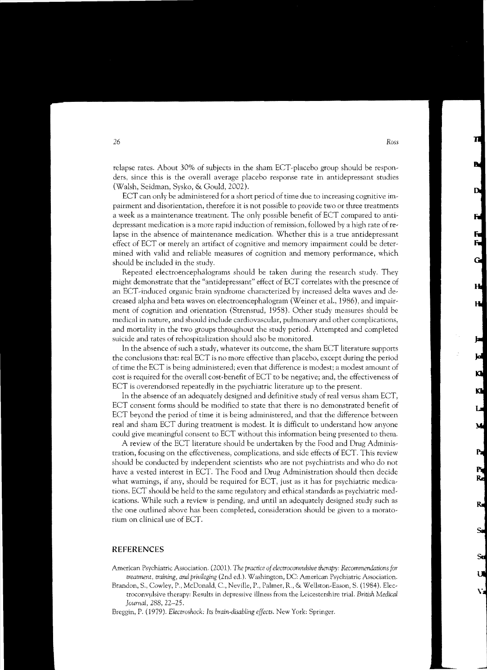relapse rates. About 30% of subjects in the sham ECT-placebo group should be responders, since this is the overall average placebo response rate in antidepressant studies (Walsh, Seidman, Sysko, & Gould, 2002).

ECT can only be administered for a short period of time due to increasing cognitive impainnent and disorientation, therefore it is not possible to provide two or three treatments a week as a maintenance treatment. The only possible benefit of ECT compared to antidepressant medication is a more rapid induction of remission, followed by a high rate of relapse in the absence of maintenance medication. Whether this is a true antidepressant effect of ECT or merely an artifact of cognitive and memory impairment could be determined with valid and reliable measures of cognition and memory performance, which should be included in the study.

Repeated electroencephalograms should be taken during the research study. They might demonstrate that the "antidepressant" effect of ECT correlates with the presence of an ECT-induced organic brain syndrome characterized by increased delta waves and decreased alpha and beta waves on electroencephalogram (Weiner et aL, 1986), and impairment of cognition and orientation (Strensrud, 1958). Other study measures should be medical in nature, and should include cardiovascular, pulmonary and other complications, and mortality in the two groups throughout the study period. Attempted and completed suicide and rates of rehospitalization should also be monitored.

In the absence of such a study, whatever its outcome, the sham ECT literature supports the conclusions that: real ECT is no more effective than placebo, except during the period of time the ECT is being administered; even that difference is modest; a modest amount of cost is required for the overall cost-benefit ofECT to be negative; and, the effectiveness of ECT is overendorsed repeatedly in the psychiatric literature up to the present.

In the absence of an adequately designed and definitive study of real versus sham ECT, ECT consent forms should be modified to state that there is no demonstrated benefit of ECT beyond the period of time it is being administered, and that the difference between real and sham ECT during treatment is modest. It is difficult to understand how anyone could give meaningful consent to ECT without this information being presented to them.

A review of the ECT literature should be undertaken by the Food and Drug Administration, focusing on the effectiveness, complications, and side effects of ECT. This review should be conducted by independent scientists who are not psychiatrists and who do not have a vested interest in ECT. The Food and Drug Administration should then decide what warnings, if any, should be required for ECT, just as it has for psychiatric medications. ECT should be held to the same regulatory and ethical standards as psychiatric medications. \Vhile such a review is pending, and until an adequately designed study such as the one outlined above has been completed, consideration should be given to a moratorium on clinical use of ECT.

#### **REFERENCES**

- American Psychiatric Association. (2001). The *practice ofelectroconvulsive therapy: Recommendations for treatment,* training, *and privileging* (2nd ed.). Washington, DC: American Psychiatric Association.
- Brandon, S., Cowley, P., McDonald, c., Neville, P., Palmer, R., & Wellston-Eason, S. (1984). Electroconvrlsive therapy: Results in depressive illness from the Leicestershire trial. *British Medical Journal,* 288, 22-25.

Breggin, P. (1979). Electroshock: *Its brain-disabling effects.* New York: Springer.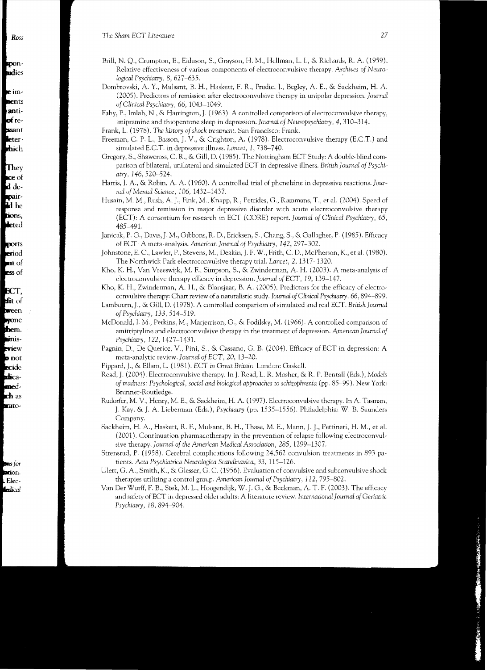- Brill, N. Q., Crumpton, E., Eiduson, S., Grayson, H. M., Hellman, L. 1., & Richards, R. A (1959). Relative effectiveness of various components of electroconvulsive therapy. *Archives of Neurological Psychiatry,* 8, 627-635.
- Dombrovski, A. Y., Mulsant, B. H., Haskett, F. R., Prudic, J., Begley, A. E., & Sackheim, H. A. (2005). Predictors of remission after electroconvulsive therapy in unipolar depression. *Journal of Clinical Psychiatry,* 66, 1043-1049.
- Fahy, P., Imlah, N., & Harrington, J. (1963). A controlled comparison of electroconvulsive therapy, imipramine and thiopentone sleep in depression. *Journal of Neuropsychiatry,* 4, 310-314.
- Frank, L. (1978). *The histcry of shock treatment.* San Francisco: Frank.
- Freeman, C. P. L., Basson, J. V., & Crighton, A. (1978). Electroconvulsive therapy (E.C.T.) and simulated E.C.T. in depressive illness. *Lancet,* 1, 738-740.
- Gregory, Shawcross, C. R., & Gill, D. (1985). The Nottingham ECT Study: A double-blind comparison of bilateral, unilateral and simulated ECT in depressive illness. *British Journal of Psychi*atry, 146, 520-524.
- Harris, J. A., & Robin, A. A (1960). A controlled trial of phenelzine in depressive reactions. *Journal of Mental Science, 106, 1432-1437.*
- Husain, M. M., Rush, A. j., Fink, M., Knapp, R., Petrides, Rummans, T., et al. (2004). Speed of response and remission in major depressive disorder with acute electroconvulsive therapy (ECT): A consortium for research in ECT (CORE) report. *Journal of Clinical Psychiatry, 65,*  485-491.
- ]anicak, P. G., Davis, J. M., Gibbons, R. D., Ericksen, Chang, S., & Gallagher, P. (1985). Efficacy ofEe'T: A meta-analysis. *American Journal of Psychiatry,* 142,297-302.
- Johnstone, E. C., Lawler, P., Stevens, M., Deakin, J. F. W., Frith, C. D., McPherson, K., et al. (1980). The Northwick Park electroconvulsive therapy trial. *Lancet,* 2, 1317-1320.
- Kho, K. H., Van Vreeswijk, M. F., Simpson, S., & Zwinderman, A H. (2003). A meta-analysis of electroconvulsive therapy efficacy in depression. *Journal of* ECT, 19, 139-147.
- Kho, K. H., Zwinderman, A H., & Blansjaar, B. A (2005). Predictors for the efficacy of electroconvulsive therapy: Chart review of a naturalistic study. *Journal ofClinical Psychiatry,* 66, 894-899.
- Lambourn, ]., & Gill, D. (1978). A controlled comparison ofsimulated and real ECT. *British Journal of Psychiatry,* 133,514-519.
- McDonald, 1. M., Perkins, M., Marjerrison, & Podilsky, M. (1966). A controlled comparison of amitriptyline and electroconvulsive therapy in the treatment of depression. American *Journal of Psychiatry,* 122,1427-1431.
- Pagnin, D., De Querioz, V., Pini, S., & Cassano, G. B. (2004). Efficacy of ECT in depression: A meta-analytic review. *Journal of ECT, 20, 13-20.*
- Pippard, J., & Ellam, L. (1981). ECT *in Great* Britain. London: Gaskell.
- Read, J. (2004). Electtoconvulsive therapy. In J. Read, L. R. Mosher, & R. P. Bentall (Eds.), *Models of madness: Psychological, social and biological approaches* tc *schizophrenia* (pp. 85-99). New York: Brunner-Routledge.
- Rudorfer, M. V., Henry, M. E., & Sackheim, H. A. (1997). Electroconvulsive therapy. In A. Tasman, ]. &]. A Lieberman (Eds.), *Psychiatry* 1535-1556). Philadelphia: W. B. Saunders Company.
- Sackheim, H. A, Haskett, R. F., Mulsant, B. H., Thase, M. E., Mann,]. J., Petrinati, H. M., et al. (2001). Continuation pharmacotherapy in the prevention of relapse following electroconvulsive therapy. *Journal of the American Medical Association,* 285, 1299-1307.
- Strensrud, P. (1958). Cerebral complications following 24,562 convulsion treatments in 893 patients. Acta Psychiatrica Neurologica Scandinavica, 33, 115-126.
- Ulett, G. A., Smith, K., & Glesser, G. C. (1956). Evaluation of convulsive and subconvulsive shock therapies utilizing a control group. *American Journal of Psychiatry,* 112, 795-802.
- Van Der Wurff, F. B., Stek, M. L., Hoogendijk, W. J. G., & Beekman, A T. F. (2003). The efficacy and safety of ECT in depressed older adults: A literature review. *Internationallournal of Geriatric Psychiatry,* 18, 894--904.